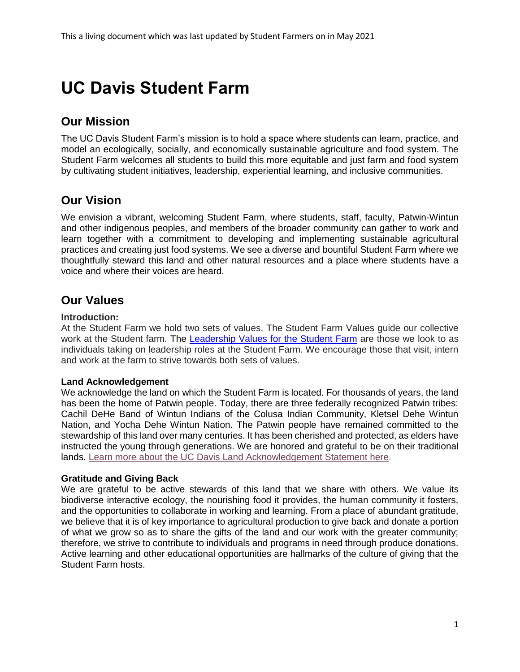# **UC Davis Student Farm**

# **Our Mission**

The UC Davis Student Farm's mission is to hold a space where students can learn, practice, and model an ecologically, socially, and economically sustainable agriculture and food system. The Student Farm welcomes all students to build this more equitable and just farm and food system by cultivating student initiatives, leadership, experiential learning, and inclusive communities.

# **Our Vision**

We envision a vibrant, welcoming Student Farm, where students, staff, faculty, Patwin-Wintun and other indigenous peoples, and members of the broader community can gather to work and learn together with a commitment to developing and implementing sustainable agricultural practices and creating just food systems. We see a diverse and bountiful Student Farm where we thoughtfully steward this land and other natural resources and a place where students have a voice and where their voices are heard.

# **Our Values**

# **Introduction:**

At the Student Farm we hold two sets of values. The Student Farm Values guide our collective work at the Student farm. The [Leadership Values for the Student Farm](https://asi.sf.ucdavis.edu/sites/g/files/dgvnsk5751/files/inline-files/Student%20Farm%20Leadership%20Values%20Final%202018.pdf) are those we look to as individuals taking on leadership roles at the Student Farm. We encourage those that visit, intern and work at the farm to strive towards both sets of values.

# **Land Acknowledgement**

We acknowledge the land on which the Student Farm is located. For thousands of years, the land has been the home of Patwin people. Today, there are three federally recognized Patwin tribes: Cachil DeHe Band of Wintun Indians of the Colusa Indian Community, Kletsel Dehe Wintun Nation, and Yocha Dehe Wintun Nation. The Patwin people have remained committed to the stewardship of this land over many centuries. It has been cherished and protected, as elders have instructed the young through generations. We are honored and grateful to be on their traditional lands. [Learn more about the UC Davis Land Acknowledgement Statement here.](https://diversity.ucdavis.edu/land-acknowledgement-statement)

# **Gratitude and Giving Back**

We are grateful to be active stewards of this land that we share with others. We value its biodiverse interactive ecology, the nourishing food it provides, the human community it fosters, and the opportunities to collaborate in working and learning. From a place of abundant gratitude, we believe that it is of key importance to agricultural production to give back and donate a portion of what we grow so as to share the gifts of the land and our work with the greater community; therefore, we strive to contribute to individuals and programs in need through produce donations. Active learning and other educational opportunities are hallmarks of the culture of giving that the Student Farm hosts.